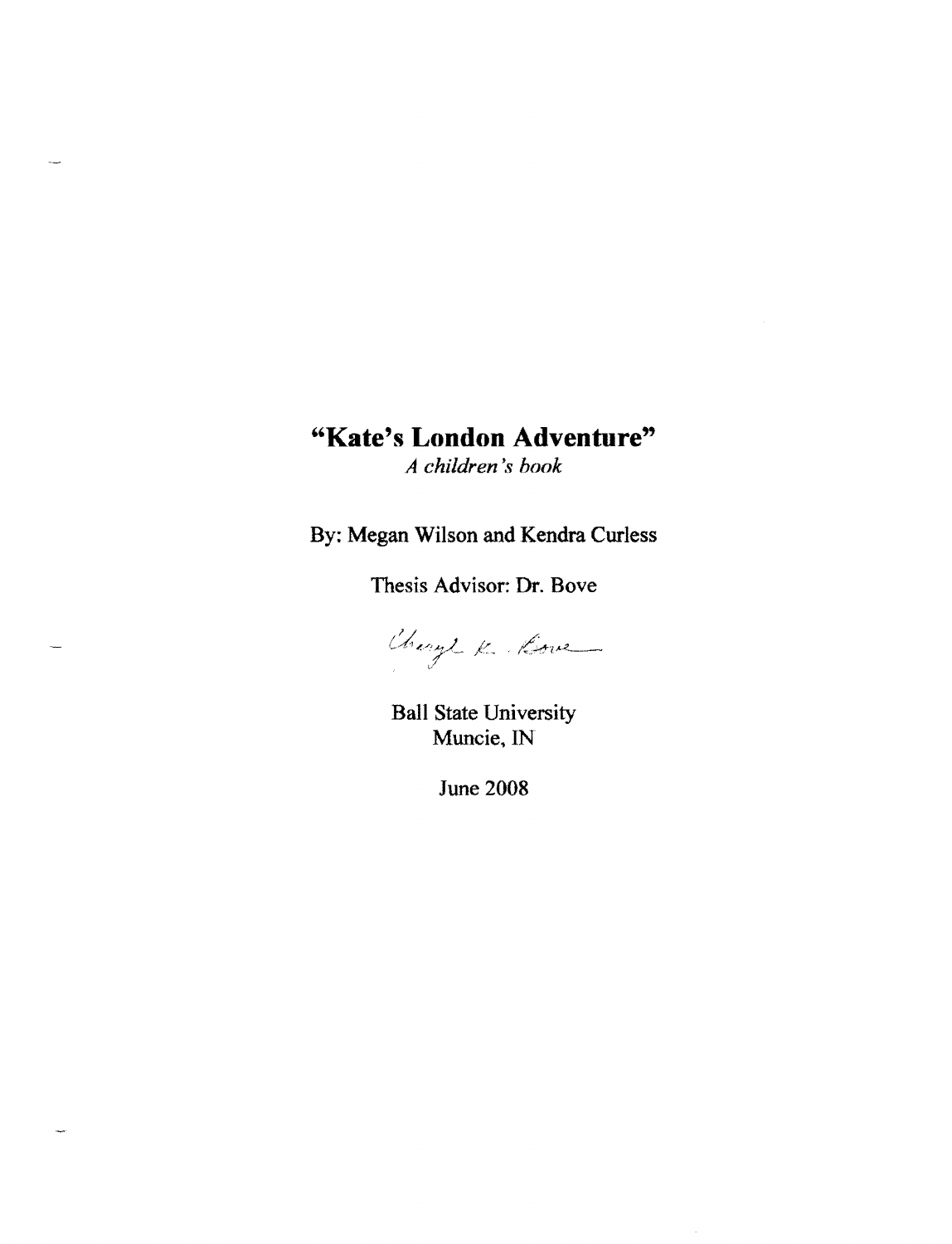# **"Kate's London Adventure"**

*A children'8 book* 

By: Megan Wilson and Kendra Curless

Thesis Advisor: Dr. Bove

Change K. Kove

Ball State University Muncie, IN

June 2008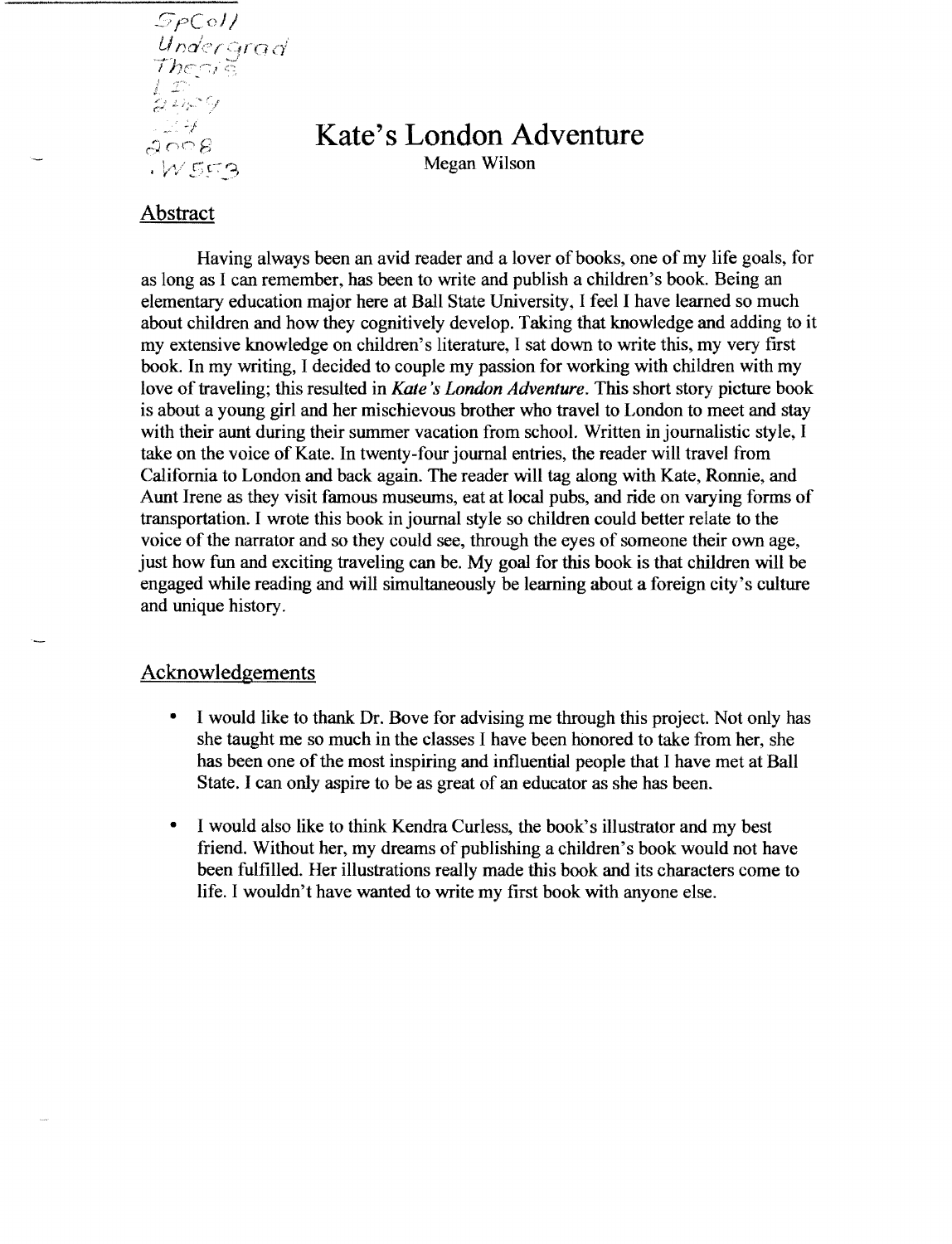Undergrad  $The c_i$ दें  $\sim$  7  $^{\prime\prime}$ وحبرتهم  $1.14$  $2008$  $W559$ 

## **Kate's London Adventure**

Megan Wilson

## Abstract

Having always been an avid reader and a lover of books, one of my life goals, for as long as I can remember, has been to write and publish a children's book. Being an elementary education major here at Ball State University, I feel I have learned so much about children and how they cognitively develop. Taking that knowledge and adding to it my extensive knowledge on children's literature, I sat down to write this, my very first book. In my writing, I decided to couple my passion for working with children with my love of traveling; this resulted in *Kate's London Adventure*. This short story picture book is about a young girl and her mischievous brother who travel to London to meet and stay with their aunt during their summer vacation from school. Written in journalistic style, I take on the voice of Kate. In twenty-four journal entries, the reader will travel from California to London and back again. The reader will tag along with Kate, Ronnie, and Aunt Irene as they visit famous museums, eat at local pubs, and ride on varying forms of transportation. I wrote this book in journal style so children could better relate to the voice of the narrator and so they could see, through the eyes of someone their own age, just how fun and exciting traveling can be. My goal for this book is that children will be engaged while reading and will simultaneously be learning about a foreign city's culture and unique history.

## Acknowledgements

- I would like to thank Dr. Bove for advising me through this project. Not only has she taught me so much in the classes I have been honored to take from her, she has been one of the most inspiring and influential people that I have met at Ball State. I can only aspire to be as great of an educator as she has been.
- I would also like to think Kendra Curless, the book's illustrator and my best friend. Without her, my dreams of publishing a children's book would not have been fulfilled. Her illustrations really made this book and its characters come to life. I wouldn't have wanted to write my first book with anyone else.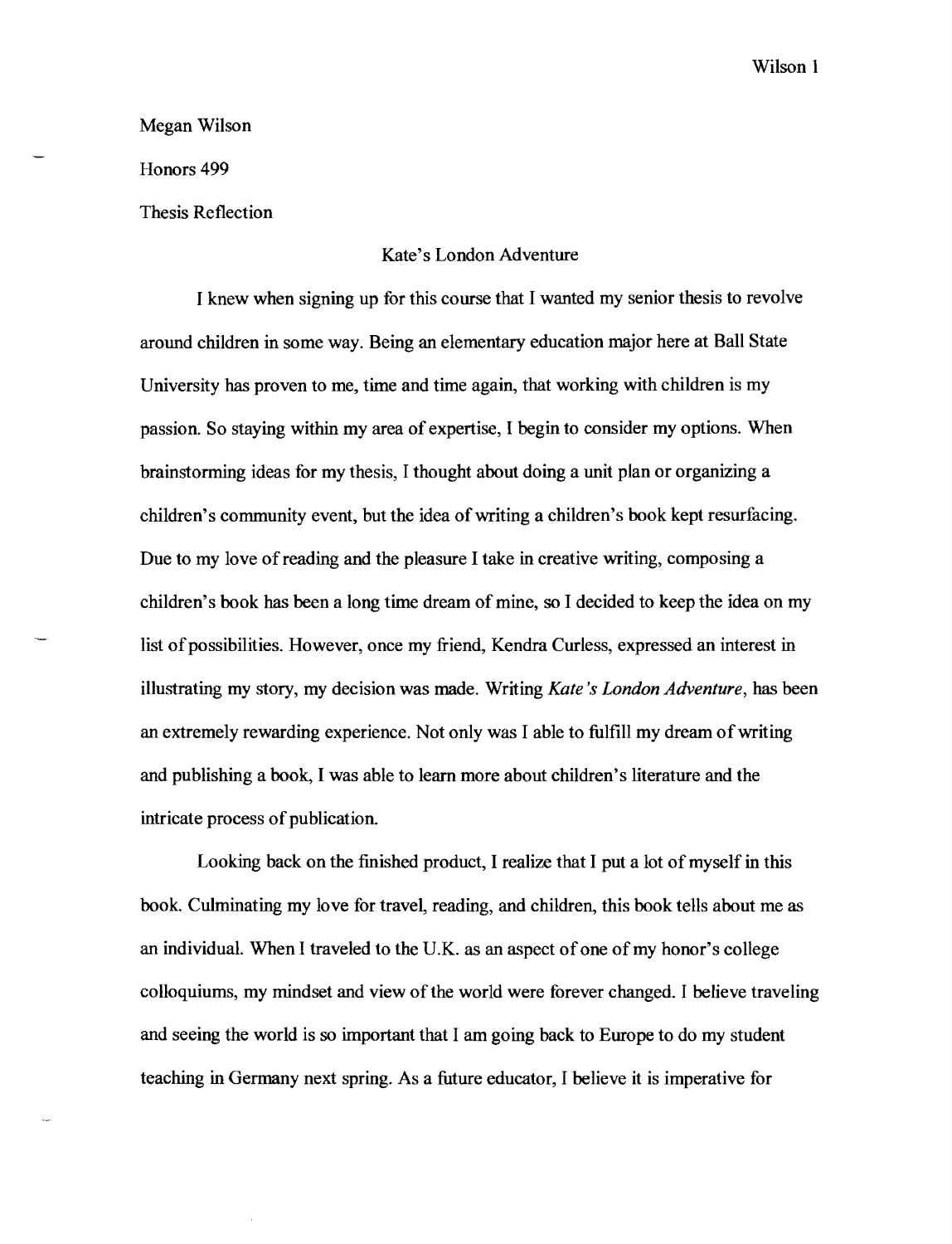Wilson 1

Megan Wilson

Honors 499

Thesis Reflection

#### Kate's London Adventure

I knew when signing up for this course that I wanted my senior thesis to revolve around children in some way. Being an elementary education major here at **Ball** State University has proven to me, time and time again, that working with children is my passion. So staying within my area of expertise, I begin to consider my options. When brainstorming ideas for my thesis, I thought about doing a unit plan or organizing a children's community event, but the idea of writing a children's book kept resurfacing. Due to my love of reading and the pleasure I take in creative writing, composing a children's book has been a long time dream of mine, so I decided to keep the idea on my list of possibilities. However, once my friend, Kendra Curless, expressed an interest in illustrating my story, my decision was made. Writing *Kate's London Adventure,* has been an extremely rewarding experience. Not only was I able to fulfill my dream of writing and publishing a book, I was able to learn more about children's literature and the intricate process of publication.

Looking back on the finished product, I realize that I put a lot of myself in this book. Culminating my love for travel, reading, and children, this book tells about me as an individual. When I traveled to the U.K. as an aspect of one of my honor's college colloquiums, my mindset and view of the world were forever changed. I believe traveling and seeing the world is so important that I am going back to Europe to do my student teaching in Germany next spring. As a future educator, I believe **it** is imperative for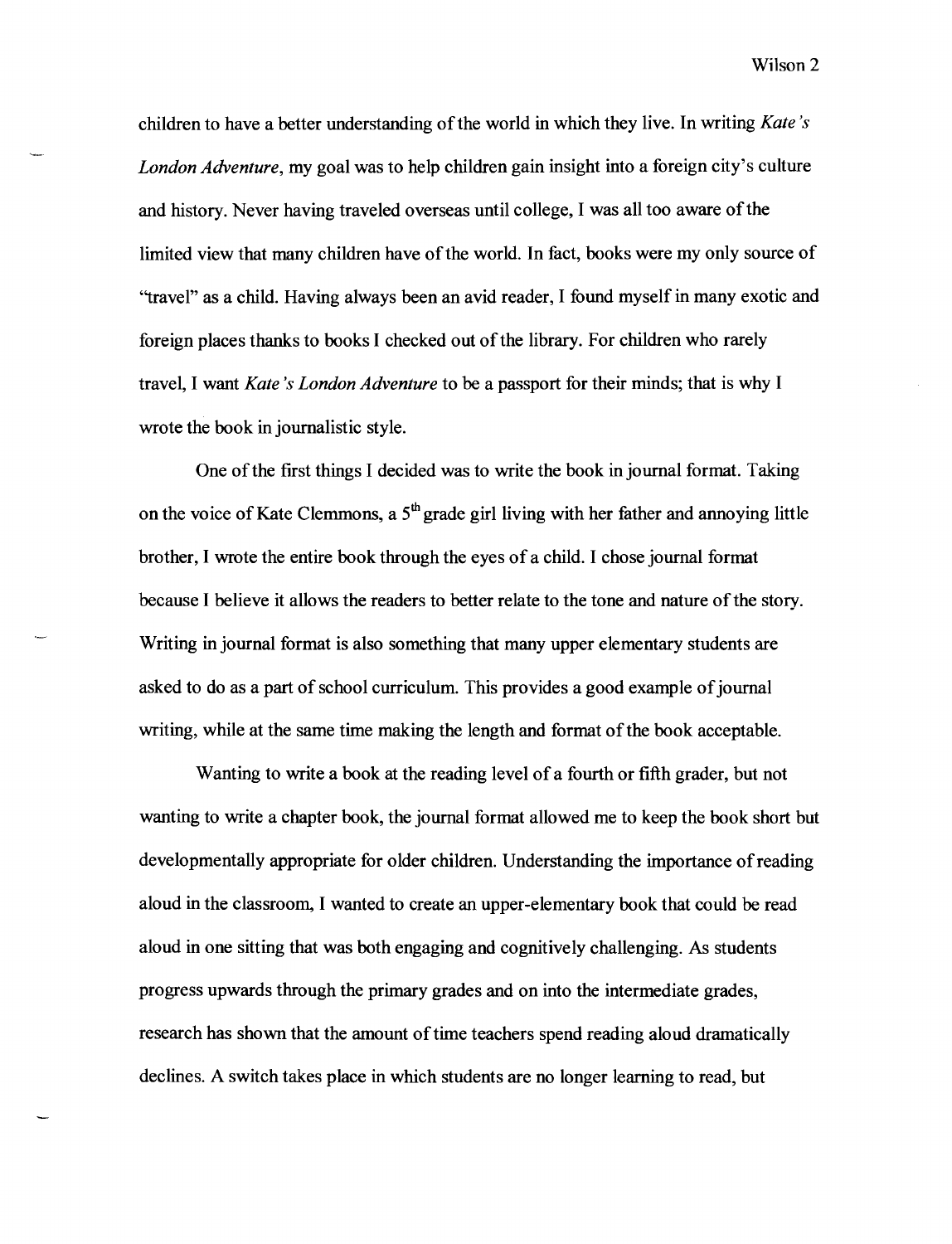children to have a better understanding ofthe world in which they live. In writing *Kate's London Adventure,* my goal was to help children gain insight into a foreign city's culture and history. Never having traveled overseas until college, I was all too aware ofthe limited view that many children have of the world. In fact, books were my only source of "travel" as a child. Having always been an avid reader, I found myself in many exotic and foreign places thanks to books I checked out of the library. For children who rarely travel, I want *Kate's London Adventure* to be a passport for their minds; that is why I wrote the book in journalistic style.

One of the first things I decided was to write the book in journal format. Taking on the voice of Kate Clemmons, a  $5<sup>th</sup>$  grade girl living with her father and annoying little brother, I wrote the entire book through the eyes of a child. I chose journal format because I believe it allows the readers to better relate to the tone and nature of the story. Writing in journal format is also something that many upper elementary students are asked to do as a part of school curriculum. This provides a good example of journal writing, while at the same time making the length and format of the book acceptable.

Wanting to write a book at the reading level of a fourth or fIfth grader, but not wanting to write a chapter book, the journal format allowed me to keep the book short but developmentally appropriate for older children. Understanding the importance of reading aloud in the classroom, I wanted to create an upper-elementary book that could be read aloud in one sitting that was both engaging and cognitively challenging. As students progress upwards through the primary grades and on into the intermediate grades, research has shown that the amount of time teachers spend reading aloud dramatically declines. A switch takes place in which students are no longer learning to read, but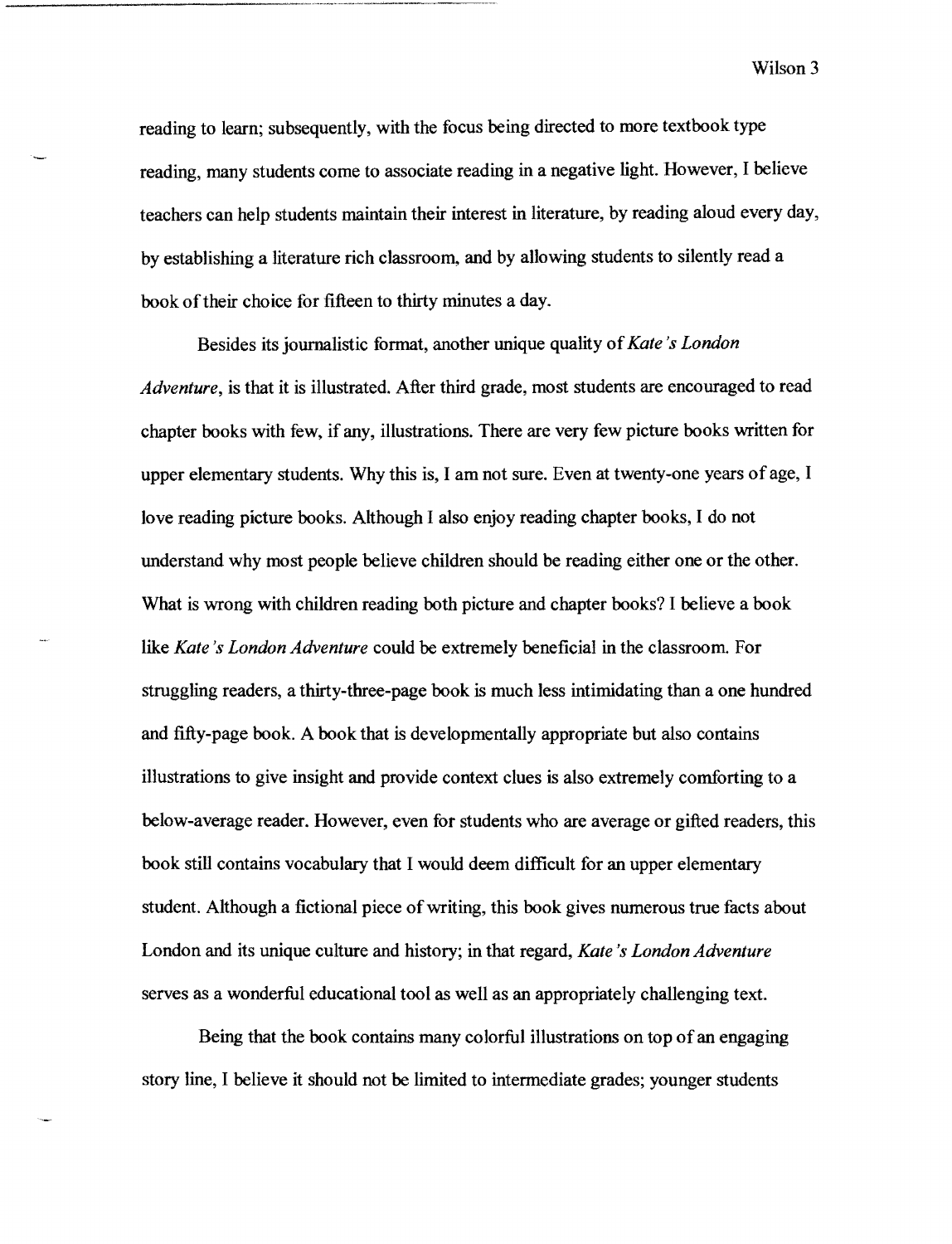Wilson 3

reading to learn; subsequently, with the focus being directed to more textbook type reading. many students come to associate reading in a negative light. However, I believe teachers can help students maintain their interest in literature, by reading aloud every day, by establishing a literature rich classroom, and by allowing students to silently read a book of their choice for fifteen to thirty minutes a day.

Besides its journalistic format, another unique quality of*Kate's London Adventure,* is that it is illustrated. After third grade, most students are encouraged to read chapter books with few, if any, illustrations. There are very few picture books written for upper elementary students. Why this is, I am not sure. Even at twenty-one years of age, I love reading picture books. Although I also enjoy reading chapter books, I do not understand why most people believe children should be reading either one or the other. What is wrong with children reading both picture and chapter books? I believe a book like *Kate's London Adventure* could be extremely beneficial in the classroom. For struggling readers, a thirty-three-page book is much less intimidating than a one hundred and fifty-page book. A book that is developmentally appropriate but also contains illustrations to give insight and provide context clues is also extremely comforting to a below-average reader. However, even for students who are average or gifted readers, this book still contains vocabulary that I would deem difficult for an upper elementary student. Although a fictional piece of writing, this book gives numerous true facts about London and its unique culture and history; in that regard, *Kate's London Adventure*  serves as a wonderful educational tool as well as an appropriately challenging text.

Being that the book contains many colorful illustrations on top of an engaging story line, I believe it should not be limited to intermediate grades; younger students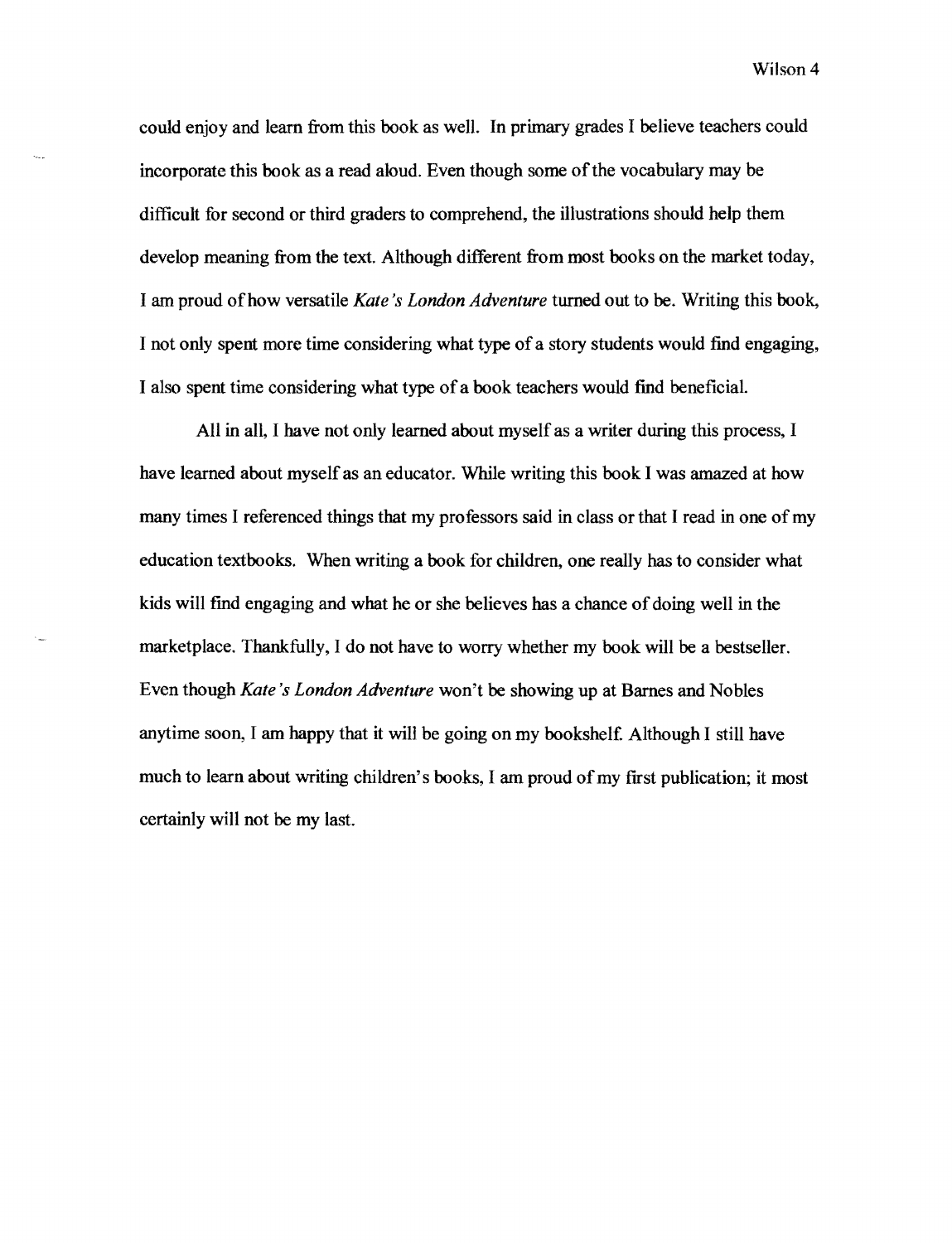Wilson 4

could enjoy and learn from this book as well. In primary grades I believe teachers could incorporate this book as a read aloud. Even though some ofthe vocabulary may be difficult for second or third graders to comprehend, the illustrations should help them develop meaning from the text. Although different from most books on the market today, I am proud ofhow versatile *Kate's London Adventure* turned out to be. Writing this book, I not only spent more time considering what type of a story students would find engaging, I also spent time considering what type ofa book teachers would find beneficial.

All in all, I have not only learned about myself as a writer during this process, I have learned about myself as an educator. While writing this book I was amazed at how many times I referenced things that my professors said in class or that I read in one of my education textbooks. When writing a book for children, one really has to consider what kids will find engaging and what he or she believes has a chance of doing well in the marketplace. Thankfully, I do not have to worry whether my book will be a bestseller. Even though *Kate's London Adventure* won't be showing up at Barnes and Nobles anytime soon, I am happy that it will be going on my bookshelf. Although I still have much to learn about writing children's books, I am proud of my first publication; it most certainly will not be my last.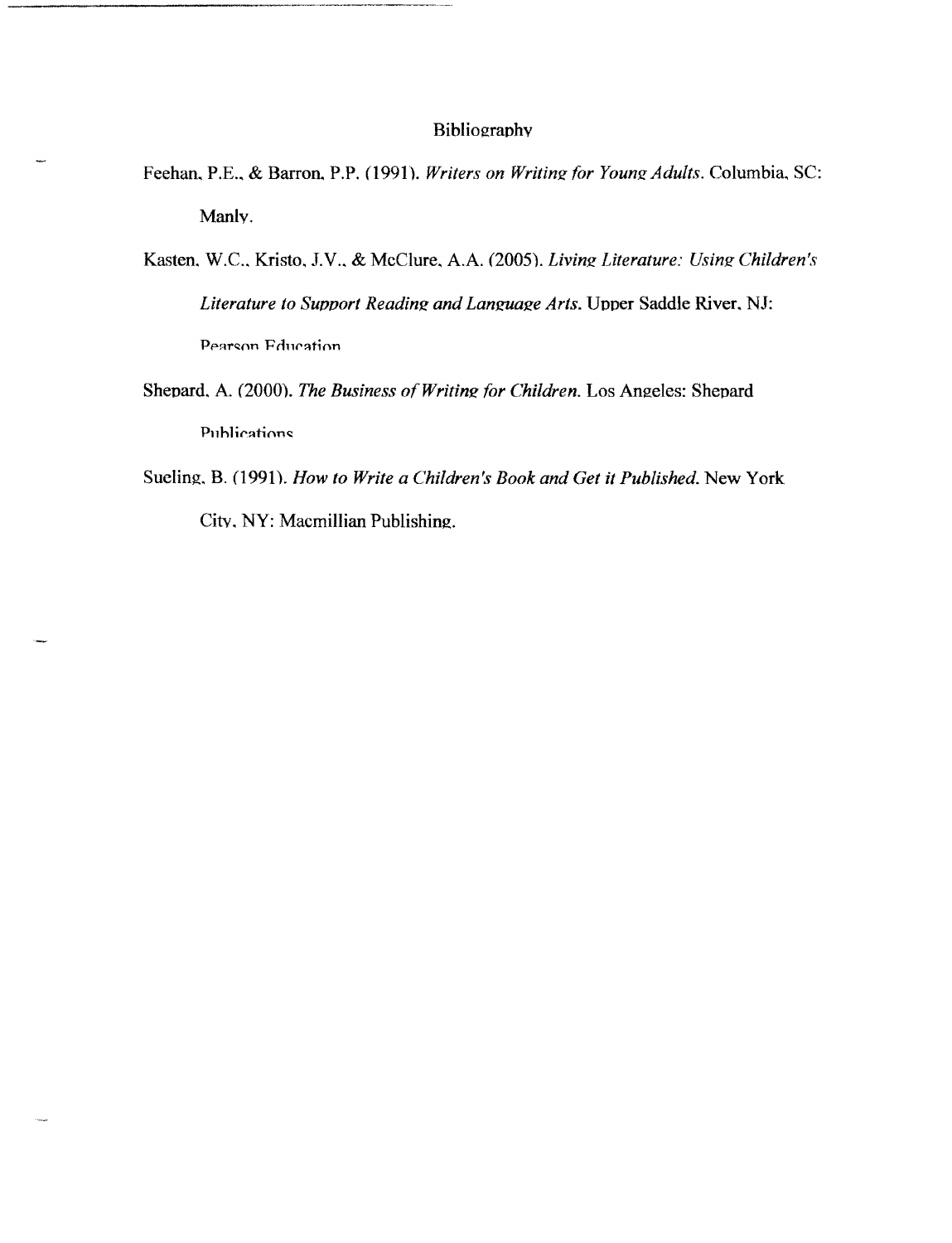#### Bibliographv

- Feehan, P.E., & Barron, P.P. (1991). *Writers on Writing for Young Adults*. Columbia, SC: Manlv.
- Kasten.W.C.. Kristo, J.V .. & McClure. A.A. (2005). *Livinz Literature: Usinz Children's Literature to Support Reading and Language Arts. Upper Saddle River, NJ:* Pearson Education
- Shepard. A. (2000). *The Business of Writing for Children*. Los Angeles: Shepard Publications
- Sueling. B. (1991). *How to Write a Children's Book and Get it Published.* New York City, NY: Macmillian Publishing.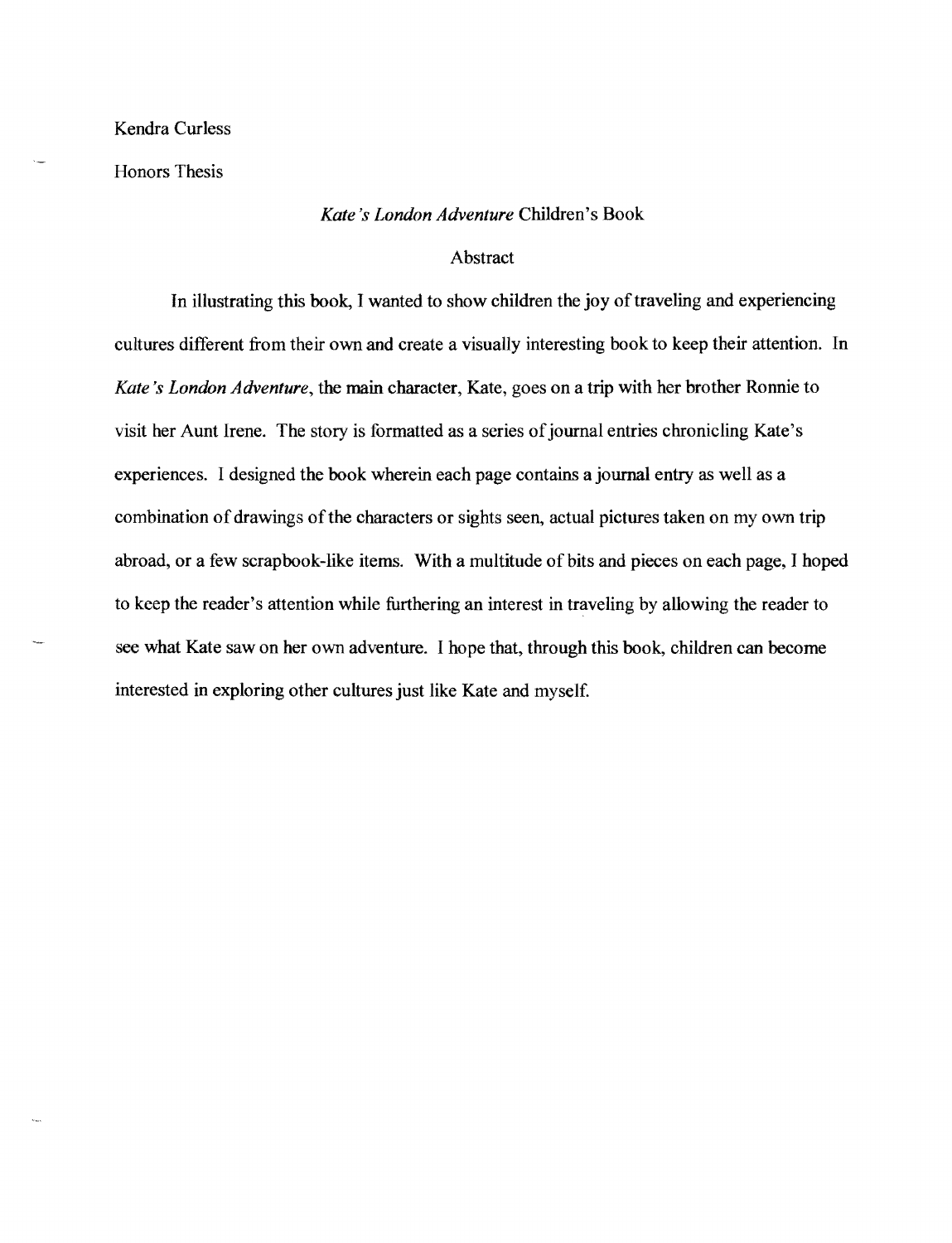## Kendra Curless

Honors Thesis

#### *Kate's London Adventure* Children's Book

#### Abstract

In illustrating this book, I wanted to show children the joy of traveling and experiencing cultures different from their own and create a visually interesting book to keep their attention. In *Kate's London Adventure,* the main character, Kate, goes on a trip with her brother Ronnie to visit her Aunt Irene. The story is formatted as a series of journal entries chronicling Kate's experiences. I designed the book wherein each page contains a journal entry as well as a combination of drawings of the characters or sights seen, actual pictures taken on my own trip abroad, or a few scrapbook-like items. With a multitude of bits and pieces on each page, I hoped to keep the reader's attention while furthering an interest in traveling by allowing the reader to see what Kate saw on her own adventure. I hope that, through this book, children can become interested in exploring other cultures just like Kate and myself.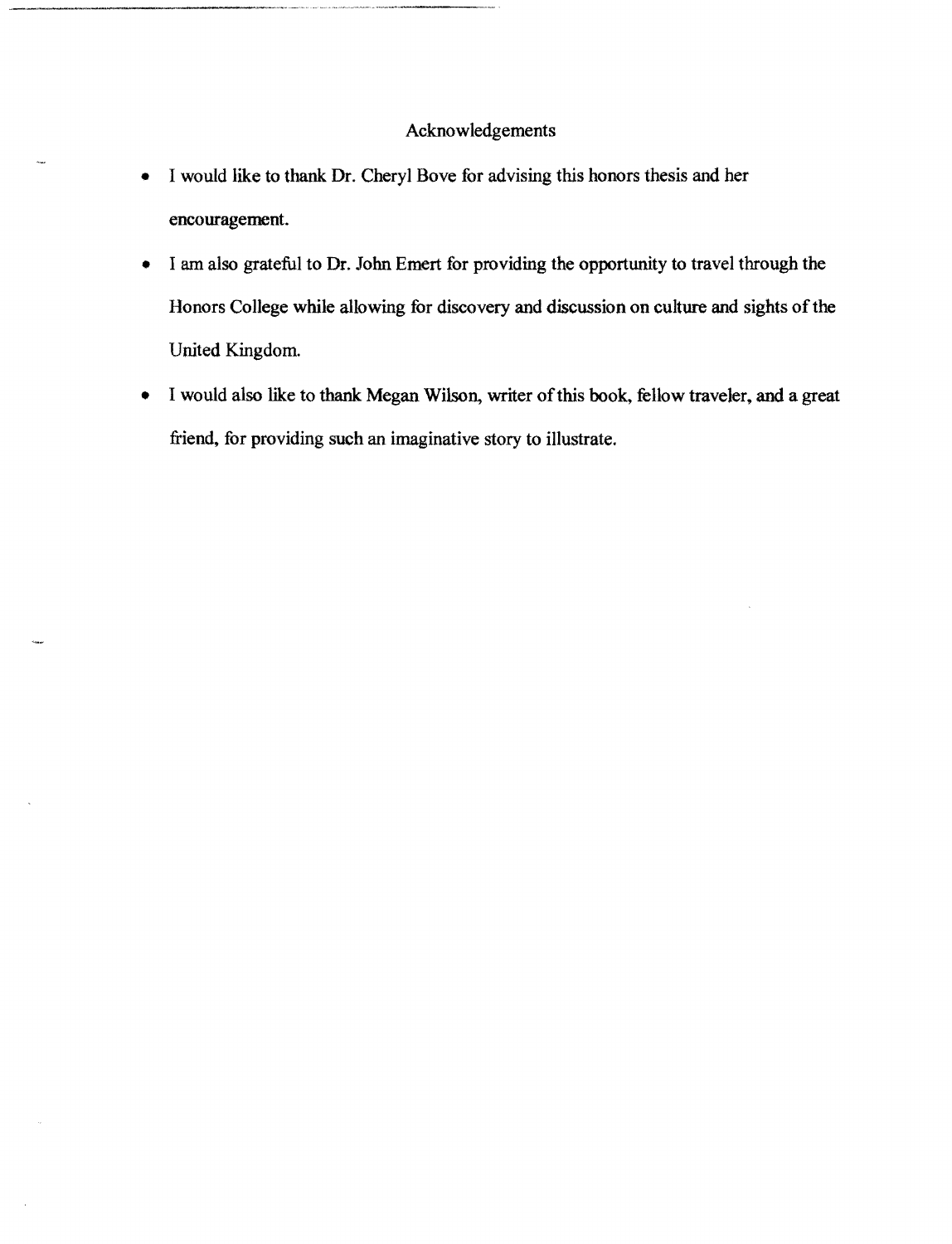## Acknowledgements

- I would like to thank. Dr. Cheryl Bove for advising this honors thesis and her encouragement.
- I am also grateful to Dr. John Emert for providing the opportunity to travel through the Honors College while allowing for discovery and discussion on culture and sights of the United Kingdom.
- I would also like to thank Megan Wilson, writer of this book, fellow traveler, and a great friend. for providing such an imaginative story to illustrate.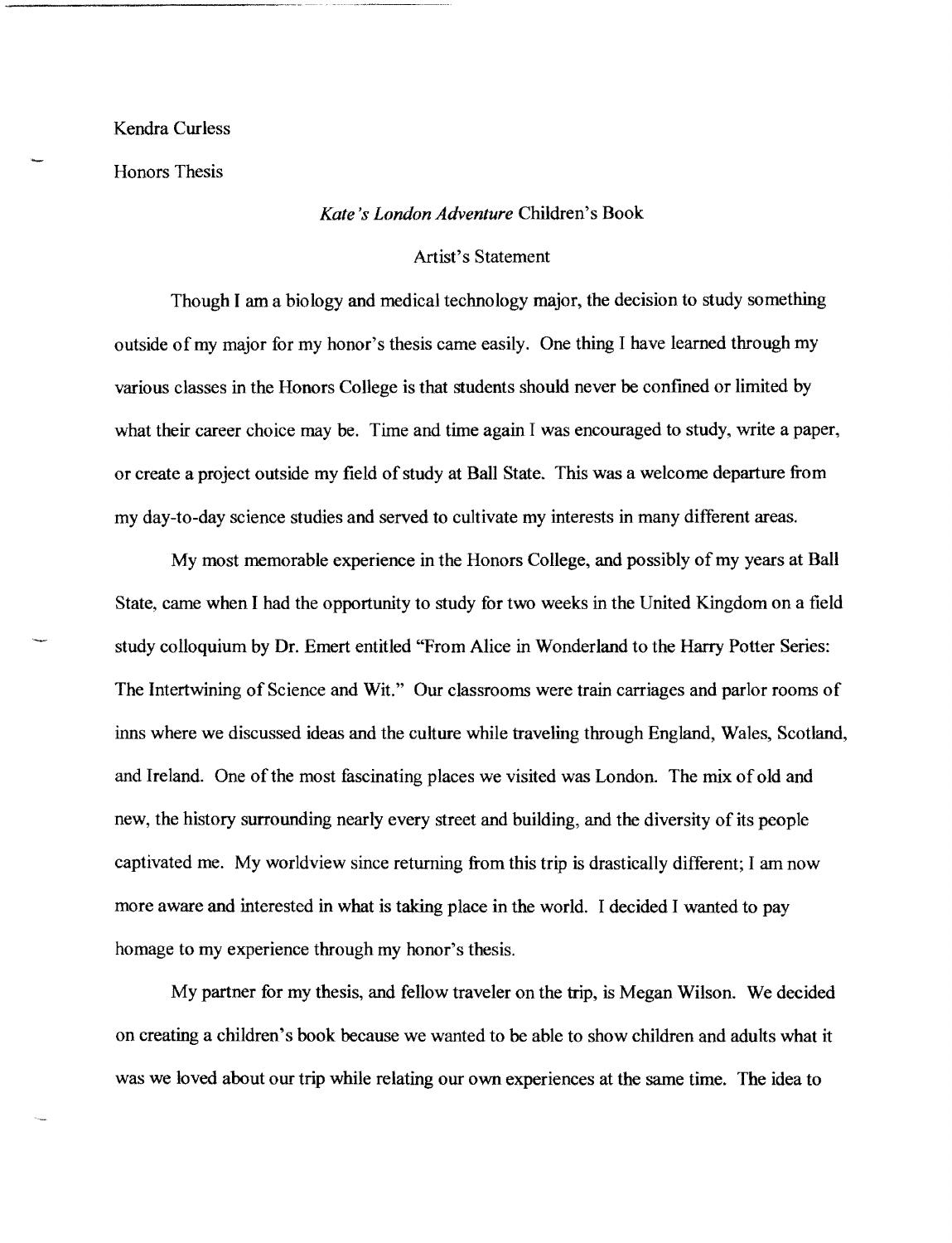#### Kendra Curless

Honors Thesis

#### *Kate's London Adventure* Children's Book

#### Artist's Statement

Though I am a biology and medical technology major, the decision to study something outside of my major for my honor's thesis came easily. One thing I have learned through my various classes in the Honors College is that students should never be confined or limited by what their career choice may be. Time and time again I was encouraged to study, write a paper, or create a project outside my field of study at Ball State. This was a welcome departure from my day-to-day science studies and served to cultivate my interests in many different areas.

My most memorable experience in the Honors College, and possibly of my years at Ball State, came when I had the opportunity to study for two weeks in the United Kingdom on a field study colloquium by Dr. Emert entitled "From Alice in Wonderland to the Harry Potter Series: The Intertwining of Science and Wit." Our classrooms were train carriages and parlor rooms of inns where we discussed ideas and the culture while traveling through England, Wales, Scotland, and Ireland. One of the most fascinating places we visited was London. The mix of old and new, the history surrounding nearly every street and building, and the diversity of its people captivated me. My worldview since returning from this trip is drastically different; I am now more aware and interested in what is taking place in the world. I decided I wanted to pay homage to my experience through my honor's thesis.

My partner for my thesis, and fellow traveler on the trip, is Megan Wilson. We decided on creating a children's book because we wanted to be able to show children and adults what it was we loved about our trip while relating our own experiences at the same time. The idea to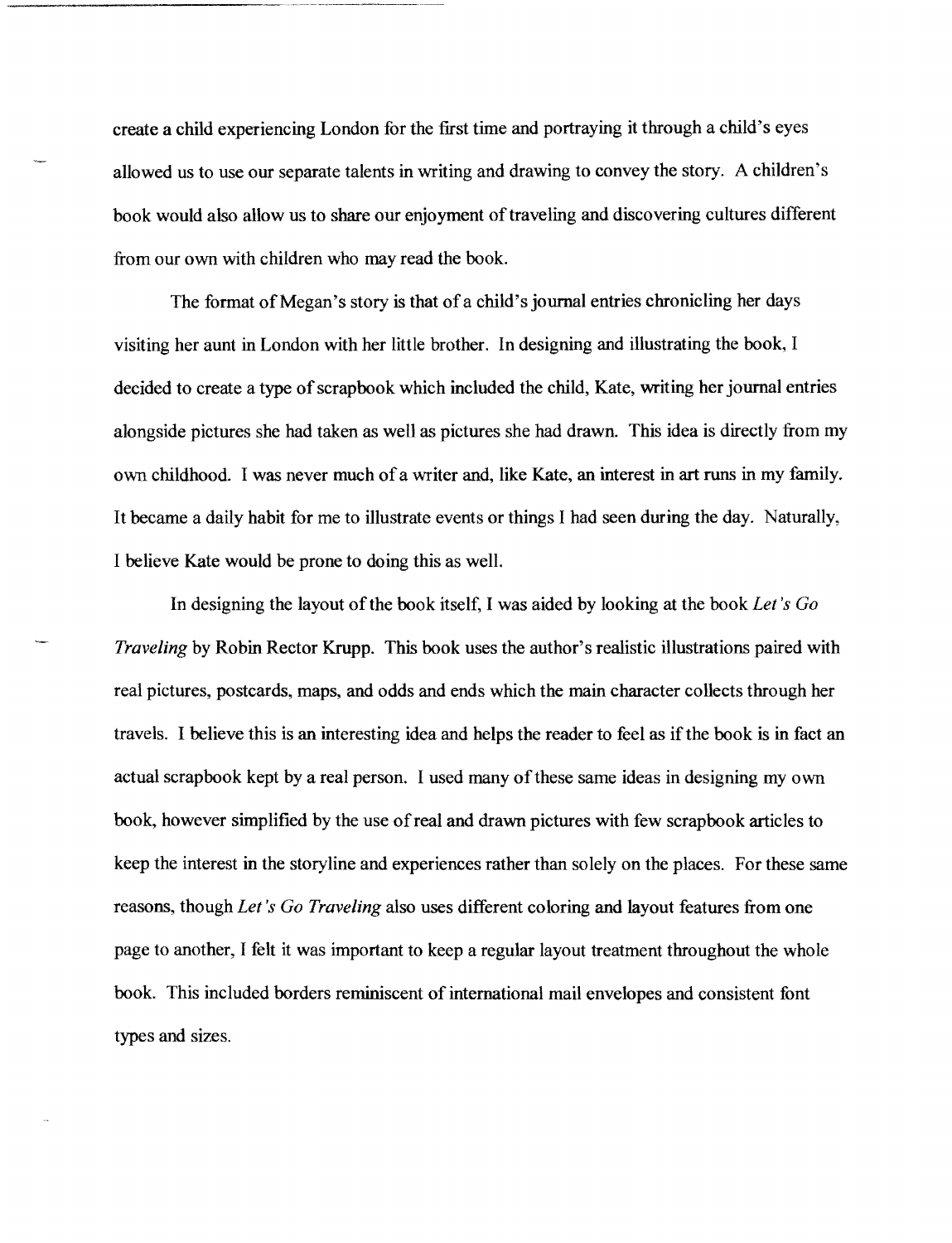create a child experiencing London for the first time and portraying it through a child's eyes allowed us to use our separate talents in writing and drawing to convey the story. A children's book would also allow us to share our enjoyment of traveling and discovering cultures different from our own with children who may read the book.

The format of Megan's story is that of a child's journal entries chronicling her days visiting her aunt in London with her little brother. In designing and illustrating the book, I decided to create a type of scrapbook which included the child, Kate, writing her journal entries alongside pictures she had taken as well as pictures she had drawn. This idea is directly from my own childhood. I was never much ofa writer and, like Kate, an interest in art runs in my family. It became a daily habit for me to illustrate events or things I had seen during the day. Naturally, I believe Kate would be prone to doing this as well.

In designing the layout of the book itself, I was aided by looking at the book *Let's* Go *Traveling* by Robin Rector Krupp. This book uses the author's realistic illustrations paired with real pictures, postcards, maps, and odds and ends which the main character collects through her travels. I believe this is an interesting idea and helps the reader to feel as ifthe book is in fact an actual scrapbook kept by a real person. I used many ofthese same ideas in designing my own book, however simplified by the use ofreal and drawn pictures with few scrapbook articles to keep the interest in the storyline and experiences rather than solely on the places. For these same reasons, though *Let's Go Traveling* also uses different coloring and layout features from one page to another, I felt it was important to keep a regular layout treatment throughout the whole book. This included borders reminiscent of international mail envelopes and consistent font types and sizes.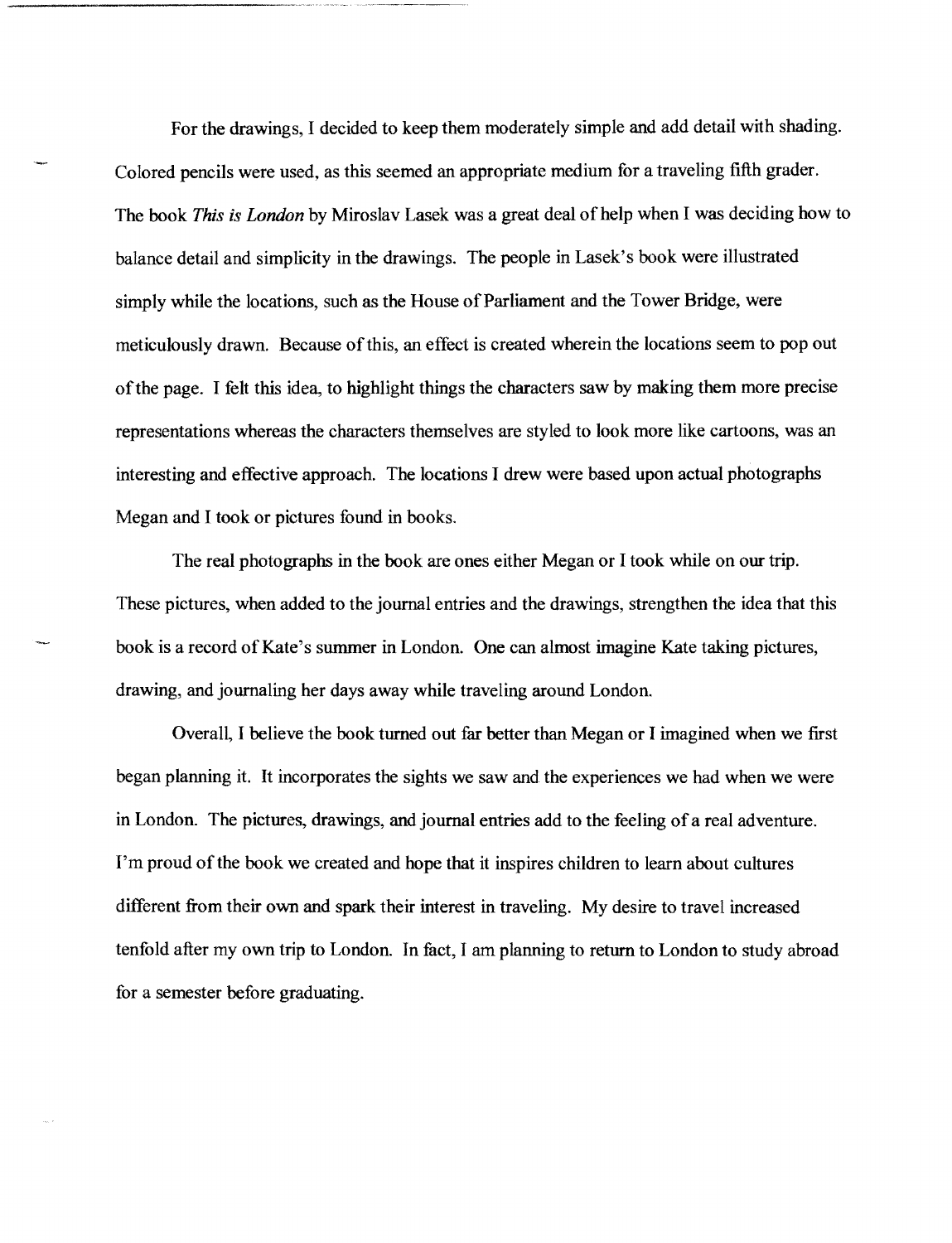For the drawings, I decided to keep them moderately simple and add detail with shading. Colored pencils were used, as this seemed an appropriate medium for a traveling fifth grader. The book *This is London* by Miroslav Lasek was a great deal of help when I was deciding how to balance detail and simplicity in the drawings. The people in Lasek's book were illustrated simply while the locations, such as the House of Parliament and the Tower Bridge, were meticulously drawn. Because ofthis, an effect is created wherein the locations seem to pop out ofthe page. I felt this idea, to highlight things the characters saw by making them more precise representations whereas the characters themselves are styled to look more like cartoons, was an interesting and effective approach. The locations I drew were based upon actual photographs Megan and I took or pictures found in books.

The real photographs in the book are ones either Megan or I took while on our trip. These pictures, when added to the journal entries and the drawings, strengthen the idea that this book is a record of Kate's summer in London. One can almost imagine Kate taking pictures, drawing, and journaling her days away while traveling around London.

Overall, I believe the book turned out far better than Megan or I imagined when we first began planning it. It incorporates the sights we saw and the experiences we had when we were in London. The pictures, drawings, and journal entries add to the feeling of a real adventure. I'm proud of the book we created and hope that it inspires children to learn about cultures different from their own and spark their interest in traveling. My desire to travel increased tenfold after my own trip to London. In fact, I am planning to return to London to study abroad for a semester before graduating.